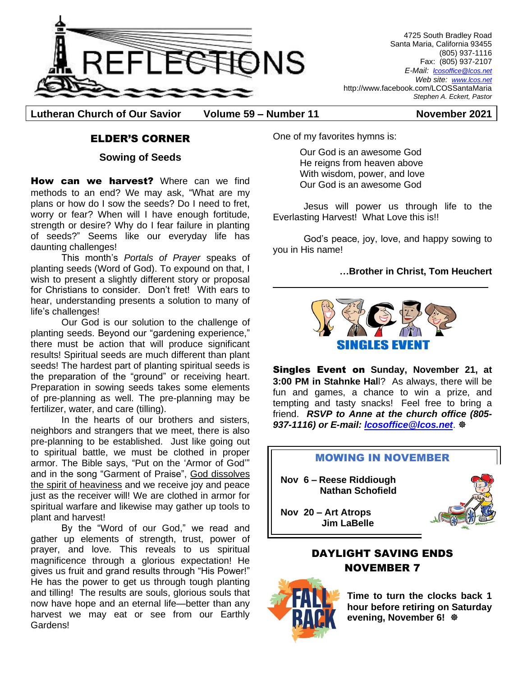

4725 South Bradley Road Santa Maria, California 93455 (805) 937-1116 Fax: (805) 937-2107 *E-Mail: lcosoffice@lcos.net Web site: [www.lcos.net](http://www.lcos.net/)* http://www.facebook.com/LCOSSantaMaria *Stephen A. Eckert, Pastor*

**Lutheran Church of Our Savior Volume 59 – Number 11 November 2021**

#### ELDER'S CORNER

**Sowing of Seeds**

How can we harvest? Where can we find methods to an end? We may ask, "What are my plans or how do I sow the seeds? Do I need to fret, worry or fear? When will I have enough fortitude, strength or desire? Why do I fear failure in planting of seeds?" Seems like our everyday life has daunting challenges!

This month's *Portals of Prayer* speaks of planting seeds (Word of God). To expound on that, I wish to present a slightly different story or proposal for Christians to consider. Don't fret! With ears to hear, understanding presents a solution to many of life's challenges!

Our God is our solution to the challenge of planting seeds. Beyond our "gardening experience," there must be action that will produce significant results! Spiritual seeds are much different than plant seeds! The hardest part of planting spiritual seeds is the preparation of the "ground" or receiving heart. Preparation in sowing seeds takes some elements of pre-planning as well. The pre-planning may be fertilizer, water, and care (tilling).

In the hearts of our brothers and sisters, neighbors and strangers that we meet, there is also pre-planning to be established. Just like going out to spiritual battle, we must be clothed in proper armor. The Bible says, "Put on the 'Armor of God'" and in the song "Garment of Praise", God dissolves the spirit of heaviness and we receive joy and peace just as the receiver will! We are clothed in armor for spiritual warfare and likewise may gather up tools to plant and harvest!

By the "Word of our God," we read and gather up elements of strength, trust, power of prayer, and love. This reveals to us spiritual magnificence through a glorious expectation! He gives us fruit and grand results through "His Power!" He has the power to get us through tough planting and tilling! The results are souls, glorious souls that now have hope and an eternal life—better than any harvest we may eat or see from our Earthly Gardens!

One of my favorites hymns is:

Our God is an awesome God He reigns from heaven above With wisdom, power, and love Our God is an awesome God

Jesus will power us through life to the Everlasting Harvest! What Love this is!!

God's peace, joy, love, and happy sowing to you in His name!

#### **…Brother in Christ, Tom Heuchert**



Singles Event on **Sunday, November 21, at 3:00 PM in Stahnke Hal**l? As always, there will be fun and games, a chance to win a prize, and tempting and tasty snacks! Feel free to bring a friend. *RSVP to Anne at the church office (805- 937-1116) or E-mail: [lcosoffice@lcos.net](mailto:lcosoffice@lcos.net)*.





**Time to turn the clocks back 1 hour before retiring on Saturday evening, November 6!**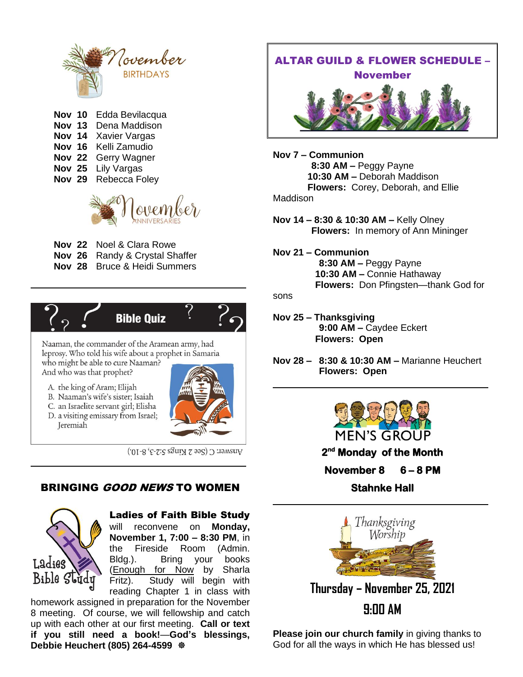

- **Nov 10** Edda Bevilacqua
- **Nov 13** Dena Maddison **Nov 14** Xavier Vargas
- **Nov 16** Kelli Zamudio
- **Nov 22** Gerry Wagner
- **Nov 25** Lily Vargas
- **Nov 29** Rebecca Foley



- **Nov 22** Noel & Clara Rowe
- **Nov 26** Randy & Crystal Shaffer
- **Nov 28** Bruce & Heidi Summers



#### BRINGING GOOD NEWS TO WOMEN



Ladies of Faith Bible Study

will reconvene on **Monday, November 1, 7:00 – 8:30 PM**, in the Fireside Room (Admin. Bldg.). Bring your books (Enough for Now by Sharla Fritz). Study will begin with reading Chapter 1 in class with

homework assigned in preparation for the November 8 meeting. Of course, we will fellowship and catch up with each other at our first meeting. **Call or text if you still need a book!**—**God's blessings, Debbie Heuchert (805) 264-4599** 



**Nov 7 – Communion 8:30 AM –** Peggy Payne **10:30 AM –** Deborah Maddison **Flowers:** Corey, Deborah, and Ellie Maddison

- **Nov 14 – 8:30 & 10:30 AM –** Kelly Olney **Flowers:** In memory of Ann Mininger
- **Nov 21 – Communion 8:30 AM –** Peggy Payne **10:30 AM –** Connie Hathaway **Flowers:** Don Pfingsten—thank God for

sons

- **Nov 25 – Thanksgiving 9:00 AM –** Caydee Eckert **Flowers: Open**
- **Nov 28 – 8:30 & 10:30 AM –** Marianne Heuchert **Flowers: Open**





### **9:00 AM**

**Please join our church family** in giving thanks to God for all the ways in which He has blessed us!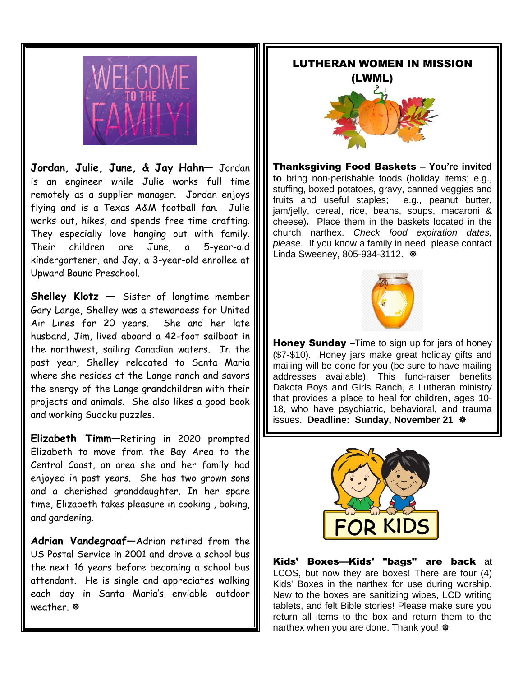

**Jordan, Julie, June, & Jay Hahn—** Jordan is an engineer while Julie works full time remotely as a supplier manager. Jordan enjoys flying and is a Texas A&M football fan. Julie works out, hikes, and spends free time crafting. They especially love hanging out with family. Their children are June, a 5-year-old kindergartener, and Jay, a 3-year-old enrollee at Upward Bound Preschool.

**Shelley Klotz —** Sister of longtime member Gary Lange, Shelley was a stewardess for United Air Lines for 20 years. She and her late husband, Jim, lived aboard a 42-foot sailboat in the northwest, sailing Canadian waters. In the past year, Shelley relocated to Santa Maria where she resides at the Lange ranch and savors the energy of the Lange grandchildren with their projects and animals. She also likes a good book and working Sudoku puzzles.

**Elizabeth Timm—**Retiring in 2020 prompted Elizabeth to move from the Bay Area to the Central Coast, an area she and her family had enjoyed in past years. She has two grown sons and a cherished granddaughter. In her spare time, Elizabeth takes pleasure in cooking , baking, and gardening.

**Adrian Vandegraaf—**Adrian retired from the US Postal Service in 2001 and drove a school bus the next 16 years before becoming a school bus attendant. He is single and appreciates walking each day in Santa Maria's enviable outdoor weather.

# LUTHERAN WOMEN IN MISSION (LWML)

Thanksgiving Food Baskets **– You're invited to** bring non-perishable foods (holiday items; e.g., stuffing, boxed potatoes, gravy, canned veggies and fruits and useful staples; e.g., peanut butter, jam/jelly, cereal, rice, beans, soups, macaroni & cheese)*.* Place them in the baskets located in the church narthex. *Check food expiration dates, please.* If you know a family in need, please contact Linda Sweeney, 805-934-3112. ※



Honey Sunday – Time to sign up for jars of honey (\$7-\$10). Honey jars make great holiday gifts and mailing will be done for you (be sure to have mailing addresses available). This fund-raiser benefits Dakota Boys and Girls Ranch, a Lutheran ministry that provides a place to heal for children, ages 10- 18, who have psychiatric, behavioral, and trauma issues. **Deadline: Sunday, November 21** 



Kids' Boxes—Kids' "bags" are back at LCOS, but now they are boxes! There are four (4) Kids' Boxes in the narthex for use during worship. New to the boxes are sanitizing wipes, LCD writing tablets, and felt Bible stories! Please make sure you return all items to the box and return them to the narthex when you are done. Thank you!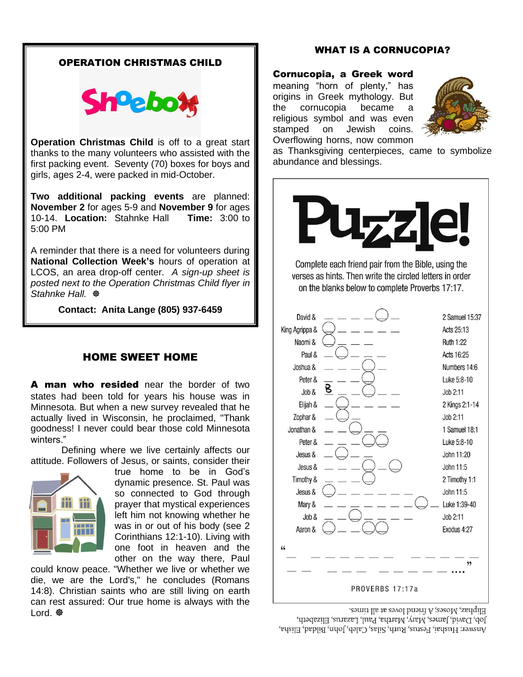#### OPERATION CHRISTMAS CHILD

# **Pebot**

**Operation Christmas Child** is off to a great start thanks to the many volunteers who assisted with the first packing event. Seventy (70) boxes for boys and girls, ages 2-4, were packed in mid-October.

**Two additional packing events** are planned: **November 2** for ages 5-9 and **November 9** for ages 10-14. **Location:** Stahnke Hall 5:00 PM

A reminder that there is a need for volunteers during **National Collection Week's** hours of operation at LCOS, an area drop-off center. *A sign-up sheet is posted next to the Operation Christmas Child flyer in Stahnke Hall.* 

**Contact: Anita Lange (805) 937-6459**

#### HOME SWEET HOME

A man who resided near the border of two states had been told for years his house was in Minnesota. But when a new survey revealed that he actually lived in Wisconsin, he proclaimed, "Thank goodness! I never could bear those cold Minnesota winters."

Defining where we live certainly affects our attitude. Followers of Jesus, or saints, consider their



true home to be in God's dynamic presence. St. Paul was so connected to God through prayer that mystical experiences left him not knowing whether he was in or out of his body (see 2 Corinthians 12:1-10). Living with one foot in heaven and the other on the way there, Paul

could know peace. "Whether we live or whether we die, we are the Lord's," he concludes (Romans 14:8). Christian saints who are still living on earth can rest assured: Our true home is always with the Lord. ※

#### WHAT IS A CORNUCOPIA?

#### Cornucopia, a Greek word

meaning "horn of plenty," has origins in Greek mythology. But the cornucopia became a religious symbol and was even stamped on Jewish coins. Overflowing horns, now common



as Thanksgiving centerpieces, came to symbolize abundance and blessings.



Complete each friend pair from the Bible, using the verses as hints. Then write the circled letters in order on the blanks below to complete Proverbs 17:17.



Eliphaz, Moses; A friend loves at all times. Job, David, James, Mary, Martha, Paul, Lazarus, Elizabeth, Answer: Hushai, Festus, Ruth, Silas, Caleb, John, Bildad, Elisha,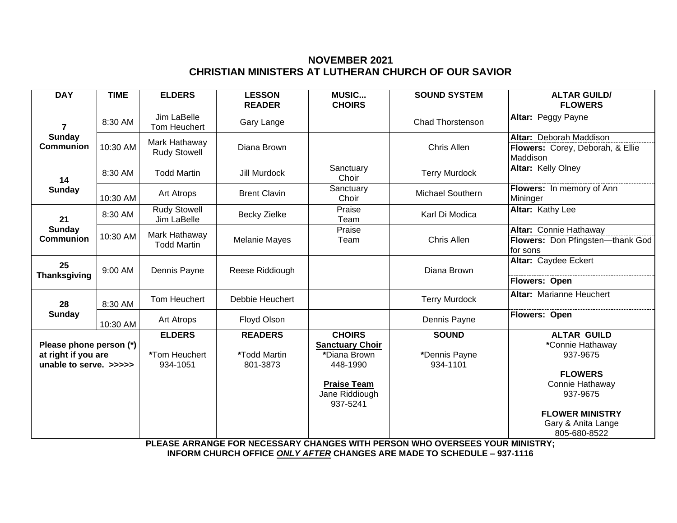#### **NOVEMBER 2021 CHRISTIAN MINISTERS AT LUTHERAN CHURCH OF OUR SAVIOR**

| <b>DAY</b>                                                               | <b>TIME</b> | <b>ELDERS</b>                              | <b>LESSON</b><br><b>READER</b>                           | <b>MUSIC</b><br><b>CHOIRS</b>                                                                                           | <b>SOUND SYSTEM</b>                       | <b>ALTAR GUILD/</b><br><b>FLOWERS</b>                                                                                                                               |  |
|--------------------------------------------------------------------------|-------------|--------------------------------------------|----------------------------------------------------------|-------------------------------------------------------------------------------------------------------------------------|-------------------------------------------|---------------------------------------------------------------------------------------------------------------------------------------------------------------------|--|
| $\overline{7}$<br><b>Sunday</b><br>Communion                             | 8:30 AM     | Jim LaBelle<br><b>Tom Heuchert</b>         | Gary Lange                                               |                                                                                                                         | <b>Chad Thorstenson</b>                   | Altar: Peggy Payne                                                                                                                                                  |  |
|                                                                          | 10:30 AM    | Mark Hathaway<br><b>Rudy Stowell</b>       | Diana Brown                                              |                                                                                                                         | <b>Chris Allen</b>                        | Altar: Deborah Maddison<br>Flowers: Corey, Deborah, & Ellie<br>Maddison                                                                                             |  |
| 14<br><b>Sunday</b>                                                      | 8:30 AM     | <b>Todd Martin</b>                         | <b>Jill Murdock</b>                                      | Sanctuary<br>Choir                                                                                                      | <b>Terry Murdock</b>                      | Altar: Kelly Olney                                                                                                                                                  |  |
|                                                                          | 10:30 AM    | Art Atrops                                 | <b>Brent Clavin</b>                                      | Sanctuary<br>Choir                                                                                                      | Michael Southern                          | Flowers: In memory of Ann<br>Mininger                                                                                                                               |  |
| 21<br><b>Sunday</b><br><b>Communion</b>                                  | 8:30 AM     | <b>Rudy Stowell</b><br>Jim LaBelle         | <b>Becky Zielke</b>                                      | Praise<br>Team                                                                                                          | Karl Di Modica                            | Altar: Kathy Lee                                                                                                                                                    |  |
|                                                                          | 10:30 AM    | Mark Hathaway<br><b>Todd Martin</b>        | <b>Melanie Mayes</b>                                     | Praise<br>Team                                                                                                          | Chris Allen                               | Altar: Connie Hathaway<br>Flowers: Don Pfingsten-thank God<br>for sons                                                                                              |  |
| 25<br><b>Thanksgiving</b>                                                | 9:00 AM     | Dennis Payne                               | Reese Riddiough                                          |                                                                                                                         | Diana Brown                               | Altar: Caydee Eckert<br>Flowers: Open                                                                                                                               |  |
| 28<br>Sunday                                                             | 8:30 AM     | Tom Heuchert                               | Debbie Heuchert                                          |                                                                                                                         | <b>Terry Murdock</b>                      | Altar: Marianne Heuchert                                                                                                                                            |  |
|                                                                          | 10:30 AM    | Art Atrops                                 | Floyd Olson                                              |                                                                                                                         | Dennis Payne                              | <b>Flowers: Open</b>                                                                                                                                                |  |
| Please phone person (*)<br>at right if you are<br>unable to serve. >>>>> |             | <b>ELDERS</b><br>*Tom Heuchert<br>934-1051 | <b>READERS</b><br><i><b>*Todd Martin</b></i><br>801-3873 | <b>CHOIRS</b><br><b>Sanctuary Choir</b><br>*Diana Brown<br>448-1990<br><b>Praise Team</b><br>Jane Riddiough<br>937-5241 | <b>SOUND</b><br>*Dennis Payne<br>934-1101 | <b>ALTAR GUILD</b><br>*Connie Hathaway<br>937-9675<br><b>FLOWERS</b><br>Connie Hathaway<br>937-9675<br><b>FLOWER MINISTRY</b><br>Gary & Anita Lange<br>805-680-8522 |  |

**PLEASE ARRANGE FOR NECESSARY CHANGES WITH PERSON WHO OVERSEES YOUR MINISTRY; INFORM CHURCH OFFICE** *ONLY AFTER* **CHANGES ARE MADE TO SCHEDULE – 937-1116**